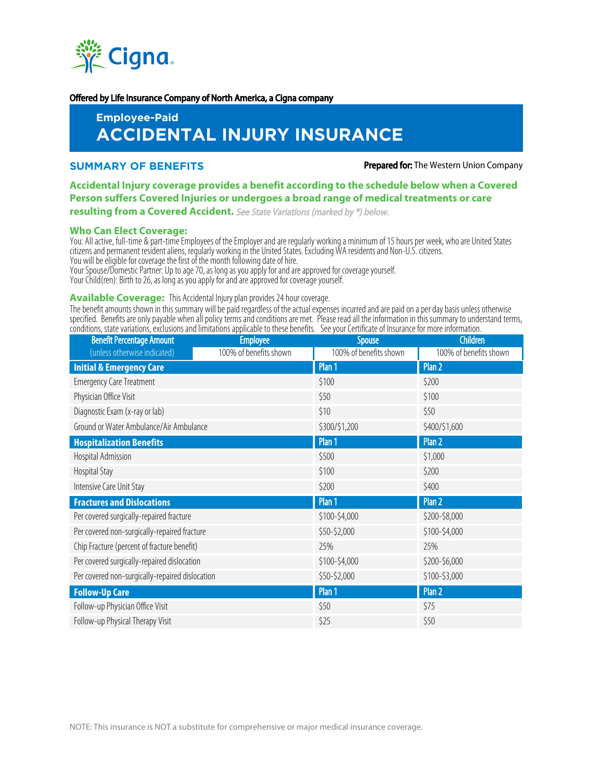

#### Offered by Life Insurance Company of North America, a Cigna company

# **Employee-Paid ACCIDENTAL INJURY INSURANCE**

**SUMMARY OF BENEFITS Prepared for:** The Western Union Company

# **Accidental Injury coverage provides a benefit according to the schedule below when a Covered Person suffers Covered Injuries or undergoes a broad range of medical treatments or care resulting from a Covered Accident.** See State Variations (marked by \*) below.

# **Who Can Elect Coverage:**

You: All active, full-time & part-time Employees of the Employer and are regularly working a minimum of 15 hours per week, who are United States citizens and permanent resident aliens, regularly working in the United States. Excluding WA residents and Non-U.S. citizens. You will be eligible for coverage the first of the month following date of hire.

Your Spouse/Domestic Partner: Up to age 70, as long as you apply for and are approved for coverage yourself.

Your Child(ren): Birth to 26, as long as you apply for and are approved for coverage yourself.

# **Available Coverage:** This Accidental Injury plan provides 24 hour coverage.

The benefit amounts shown in this summary will be paid regardless of the actual expenses incurred and are paid on a per day basis unless otherwise specified. Benefits are only payable when all policy terms and conditions are met. Please read all the information in this summary to understand terms, conditions, state variations, exclusions and limitations applicable to these benefits. See your Certificate of Insurance for more information.

| <b>Benefit Percentage Amount</b>                | <b>Employee</b>        | <b>Spouse</b>          | <b>Children</b>        |
|-------------------------------------------------|------------------------|------------------------|------------------------|
| (unless otherwise indicated)                    | 100% of benefits shown | 100% of benefits shown | 100% of benefits shown |
| <b>Initial &amp; Emergency Care</b>             |                        | Plan <sub>1</sub>      | Plan 2                 |
| <b>Emergency Care Treatment</b>                 |                        | \$100                  | \$200                  |
| Physician Office Visit                          |                        | \$50                   | \$100                  |
| Diagnostic Exam (x-ray or lab)                  |                        | \$10                   | \$50                   |
| Ground or Water Ambulance/Air Ambulance         |                        | \$300/\$1,200          | \$400/\$1,600          |
| <b>Hospitalization Benefits</b>                 |                        | Plan 1                 | Plan 2                 |
| Hospital Admission                              |                        | \$500                  | \$1,000                |
| Hospital Stay                                   |                        | \$100                  | \$200                  |
| Intensive Care Unit Stay                        |                        | \$200                  | \$400                  |
| <b>Fractures and Dislocations</b>               |                        | Plan 1                 | Plan 2                 |
| Per covered surgically-repaired fracture        |                        | \$100-\$4,000          | \$200-\$8,000          |
| Per covered non-surgically-repaired fracture    |                        | \$50-\$2,000           | \$100-\$4,000          |
| Chip Fracture (percent of fracture benefit)     |                        | 25%                    | 25%                    |
| Per covered surgically-repaired dislocation     |                        | \$100-\$4,000          | \$200-\$6,000          |
| Per covered non-surgically-repaired dislocation |                        | \$50-\$2,000           | \$100-\$3,000          |
| <b>Follow-Up Care</b>                           |                        | Plan 1                 | Plan 2                 |
| Follow-up Physician Office Visit                |                        | \$50                   | \$75                   |
| Follow-up Physical Therapy Visit                |                        | \$25                   | \$50                   |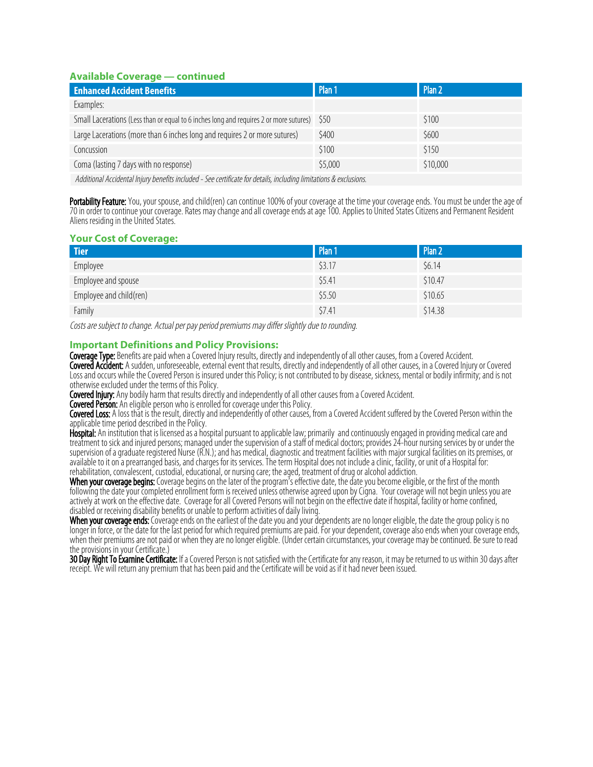# **Available Coverage — continued**

| <b>Enhanced Accident Benefits</b>                                                      | Plan 1  | Plan <sub>2</sub> |  |  |
|----------------------------------------------------------------------------------------|---------|-------------------|--|--|
| Examples:                                                                              |         |                   |  |  |
| Small Lacerations (Less than or equal to 6 inches long and requires 2 or more sutures) | S50     | \$100             |  |  |
| Large Lacerations (more than 6 inches long and requires 2 or more sutures)             | \$400   | \$600             |  |  |
| Concussion                                                                             | \$100   | \$150             |  |  |
| Coma (lasting 7 days with no response)                                                 | \$5,000 | \$10,000          |  |  |
|                                                                                        |         |                   |  |  |

Additional Accidental Injury benefits included - See certificate for details, including limitations & exclusions.

Portability Feature: You, your spouse, and child(ren) can continue 100% of your coverage at the time your coverage ends. You must be under the age of 70 in order to continue your coverage. Rates may change and all coverage ends at age 100. Applies to United States Citizens and Permanent Resident Aliens residing in the United States.

# **Your Cost of Coverage:**

| <b>Tier</b>             | Plan 1 | Plan 2  |
|-------------------------|--------|---------|
| Employee                | \$3.17 | \$6.14  |
| Employee and spouse     | \$5.41 | \$10.47 |
| Employee and child(ren) | \$5.50 | \$10.65 |
| Family                  | \$7.41 | \$14.38 |

Costs are subject to change. Actual per pay period premiums may differ slightly due to rounding.

# **Important Definitions and Policy Provisions:**

Coverage Type: Benefits are paid when a Covered Injury results, directly and independently of all other causes, from a Covered Accident. Covered Accident: A sudden, unforeseeable, external event that results, directly and independently of all other causes, in a Covered Injury or Covered Loss and occurs while the Covered Person is insured under this Policy; is not contributed to by disease, sickness, mental or bodily infirmity; and is not otherwise excluded under the terms of this Policy.

Covered Injury: Any bodily harm that results directly and independently of all other causes from a Covered Accident.

**Covered Person:** An eligible person who is enrolled for coverage under this Policy.

**Covered Loss:** A loss that is the result, directly and independently of other causes, from a Covered Accident suffered by the Covered Person within the applicable time period described in the Policy.

Hospital: An institution that is licensed as a hospital pursuant to applicable law; primarily and continuously engaged in providing medical care and treatment to sick and injured persons; managed under the supervision of a staff of medical doctors; provides 24-hour nursing services by or under the supervision of a graduate registered Nurse (R.N.); and has medical, diagnostic and treatment facilities with major surgical facilities on its premises, or available to it on a prearranged basis, and charges for its services. The term Hospital does not include a clinic, facility, or unit of a Hospital for: rehabilitation, convalescent, custodial, educational, or nursing care; the aged, treatment of drug or alcohol addiction.

When your coverage begins: Coverage begins on the later of the program's effective date, the date you become eligible, or the first of the month following the date your completed enrollment form is received unless otherwise agreed upon by Cigna. Your coverage will not begin unless you are actively at work on the effective date. Coverage for all Covered Persons will not begin on the effective date if hospital, facility or home confined, disabled or receiving disability benefits or unable to perform activities of daily living.

**When your coverage ends:** Coverage ends on the earliest of the date you and your dependents are no longer eligible, the date the group policy is no longer in force, or the date for the last period for which required premiums are paid. For your dependent, coverage also ends when your coverage ends, when their premiums are not paid or when they are no longer eligible. (Under certain circumstances, your coverage may be continued. Be sure to read the provisions in your Certificate.)

30 Day Right To Examine Certificate: If a Covered Person is not satisfied with the Certificate for any reason, it may be returned to us within 30 days after receipt. We will return any premium that has been paid and the Certificate will be void as if it had never been issued.